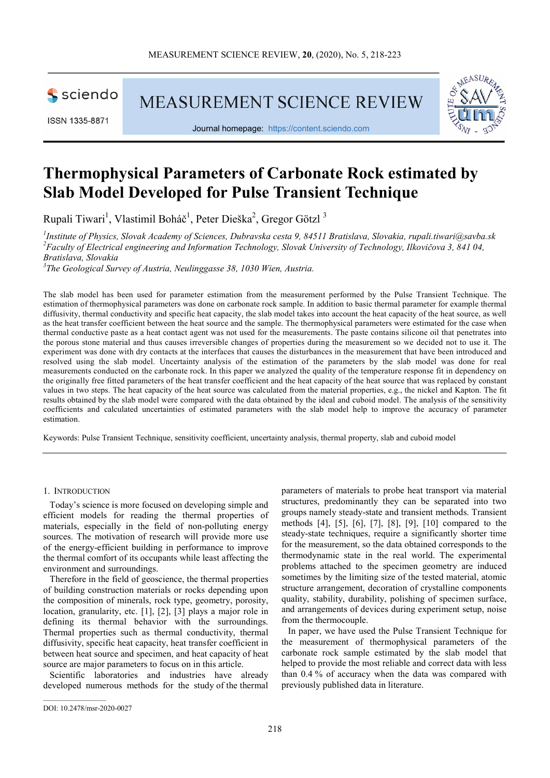

ISSN 1335-8871

**MEASUREMENT SCIENCE REVIEW** 



Journal homepage: https://content.sciendo.com

# Thermophysical Parameters of Carbonate Rock estimated by Slab Model Developed for Pulse Transient Technique

Rupali Tiwari<sup>1</sup>, Vlastimil Boháč<sup>1</sup>, Peter Dieška<sup>2</sup>, Gregor Götzl<sup>3</sup>

<sup>1</sup>Institute of Physics, Slovak Academy of Sciences, Dubravska cesta 9, 84511 Bratislava, Slovakia, rupali.tiwari@savba.sk  $^{2}$ Faculty of Electrical engineering and Information Technology, Slovak University of Technology, Ilkovičova 3, 841 04, Bratislava, Slovakia

 $3$ The Geological Survey of Austria, Neulinggasse 38, 1030 Wien, Austria.

The slab model has been used for parameter estimation from the measurement performed by the Pulse Transient Technique. The estimation of thermophysical parameters was done on carbonate rock sample. In addition to basic thermal parameter for example thermal diffusivity, thermal conductivity and specific heat capacity, the slab model takes into account the heat capacity of the heat source, as well as the heat transfer coefficient between the heat source and the sample. The thermophysical parameters were estimated for the case when thermal conductive paste as a heat contact agent was not used for the measurements. The paste contains silicone oil that penetrates into the porous stone material and thus causes irreversible changes of properties during the measurement so we decided not to use it. The experiment was done with dry contacts at the interfaces that causes the disturbances in the measurement that have been introduced and resolved using the slab model. Uncertainty analysis of the estimation of the parameters by the slab model was done for real measurements conducted on the carbonate rock. In this paper we analyzed the quality of the temperature response fit in dependency on the originally free fitted parameters of the heat transfer coefficient and the heat capacity of the heat source that was replaced by constant values in two steps. The heat capacity of the heat source was calculated from the material properties, e.g., the nickel and Kapton. The fit results obtained by the slab model were compared with the data obtained by the ideal and cuboid model. The analysis of the sensitivity coefficients and calculated uncertainties of estimated parameters with the slab model help to improve the accuracy of parameter estimation.

Keywords: Pulse Transient Technique, sensitivity coefficient, uncertainty analysis, thermal property, slab and cuboid model

# 1. INTRODUCTION

Today's science is more focused on developing simple and efficient models for reading the thermal properties of materials, especially in the field of non-polluting energy sources. The motivation of research will provide more use of the energy-efficient building in performance to improve the thermal comfort of its occupants while least affecting the environment and surroundings.

Therefore in the field of geoscience, the thermal properties of building construction materials or rocks depending upon the composition of minerals, rock type, geometry, porosity, location, granularity, etc. [1], [2], [3] plays a major role in defining its thermal behavior with the surroundings. Thermal properties such as thermal conductivity, thermal diffusivity, specific heat capacity, heat transfer coefficient in between heat source and specimen, and heat capacity of heat source are major parameters to focus on in this article.

Scientific laboratories and industries have already developed numerous methods for the study of the thermal parameters of materials to probe heat transport via material structures, predominantly they can be separated into two groups namely steady-state and transient methods. Transient methods [4], [5], [6], [7], [8], [9], [10] compared to the steady-state techniques, require a significantly shorter time for the measurement, so the data obtained corresponds to the thermodynamic state in the real world. The experimental problems attached to the specimen geometry are induced sometimes by the limiting size of the tested material, atomic structure arrangement, decoration of crystalline components quality, stability, durability, polishing of specimen surface, and arrangements of devices during experiment setup, noise from the thermocouple.

In paper, we have used the Pulse Transient Technique for the measurement of thermophysical parameters of the carbonate rock sample estimated by the slab model that helped to provide the most reliable and correct data with less than 0.4 % of accuracy when the data was compared with previously published data in literature.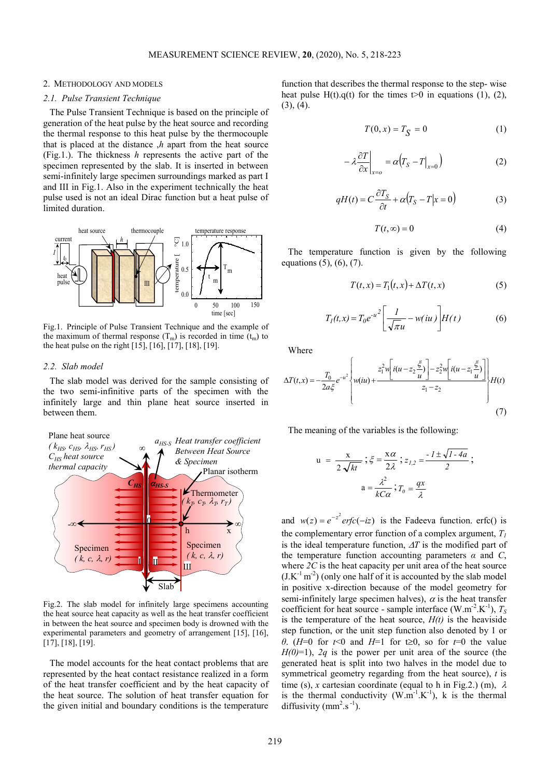## 2. METHODOLOGY AND MODELS

# 2.1. Pulse Transient Technique

The Pulse Transient Technique is based on the principle of generation of the heat pulse by the heat source and recording the thermal response to this heat pulse by the thermocouple that is placed at the distance  $h$  apart from the heat source (Fig.1.). The thickness  $h$  represents the active part of the specimen represented by the slab. It is inserted in between semi-infinitely large specimen surroundings marked as part I and III in Fig.1. Also in the experiment technically the heat pulse used is not an ideal Dirac function but a heat pulse of limited duration. function that describes the thermal response to the step-wise<br>
heat pulse H(t),q(t) for the times t-0 in equations (1), (2),<br>
ource and recording<br>
the thermocouple<br>
com the heat source<br>
inserted as part of the<br>
inserted i MEASUREMENT SCIENCE REVIEW, 20, (2020), No. 5, 218-223<br>
DDOLOGY AND MODELS<br> *CTransient Technique*<br>
se Transient Technique<br>
is a response to this heat pulse by the temperature conduction<br>
all response to this heat source MEASUREMENT SCIENCE REVIEW, 20, (2020), No. 5, 218-223<br>
GY AND MODELS<br>
ISENT Technique<br>
ISENT Technique is based on the principle of (3), (4).<br>
Instant Technique is based on the principle of (3), (4).<br>
Instant I is the st



Fig.1. Principle of Pulse Transient Technique and the example of the maximum of thermal response  $(T_m)$  is recorded in time  $(t_m)$  to the heat pulse on the right [15], [16], [17], [18], [19].

#### 2.2. Slab model

The slab model was derived for the sample consisting of the two semi-infinitive parts of the specimen with the infinitely large and thin plane heat source inserted in between them.



Fig.2. The slab model for infinitely large specimens accounting the heat source heat capacity as well as the heat transfer coefficient in between the heat source and specimen body is drowned with the experimental parameters and geometry of arrangement [15], [16], [17], [18], [19].

The model accounts for the heat contact problems that are represented by the heat contact resistance realized in a form of the heat transfer coefficient and by the heat capacity of the heat source. The solution of heat transfer equation for the given initial and boundary conditions is the temperature

function that describes the thermal response to the step- wise heat pulse H(t).q(t) for the times  $t>0$  in equations (1), (2),  $(3), (4).$ No. 5, 218-223<br>
Tribes the thermal response to the step-wise<br>
(b) for the times t > 0 in equations (1), (2),<br>  $T(0, x) = T_S = 0$  (1)<br>  $\lambda \frac{\partial T}{\partial x}\Big|_{x=0} = \alpha (T_S - T|_{x=0})$  (2)<br>
(t) =  $C \frac{\partial T_S}{\partial t} + \alpha (T_S - T|x = 0)$  (3)<br>  $T(t, \infty) = 0$ 

$$
T(0, x) = TS = 0
$$
 (1)

$$
-\lambda \frac{\partial T}{\partial x}\bigg|_{x=0} = \alpha \big(T_S - T\big|_{x=0}\big) \tag{2}
$$

$$
qH(t) = C\frac{\partial T_S}{\partial t} + \alpha (T_S - T | x = 0)
$$
 (3)

$$
T(t, \infty) = 0 \tag{4}
$$

 $T_m$   $\left\{\n\begin{array}{c}\n\text{equation 0} & \text{if } (x, y) & (y, z) \\
\text{if } (x, y) & (y, z) \\
\text{if } (x, y) & (y, z)\n\end{array}\n\right\}$ The temperature function is given by the following equations (5), (6), (7).

$$
T(t,x) = T_1(t,x) + \Delta T(t,x)
$$
 (5)

$$
T_I(t, x) = T_0 e^{-u^2} \left[ \frac{1}{\sqrt{\pi u}} - w(tu) \right] H(t)
$$
 (6)

Where

$$
\frac{d}{dt} \sum_{i=0}^{n} \frac{1}{2} \int_{0}^{1} \frac{1}{t} \int_{0}^{1} \int_{0}^{1} \int_{0}^{1} \int_{0}^{1} \int_{0}^{1} \int_{0}^{1} \int_{0}^{1} \int_{0}^{1} \int_{0}^{1} \int_{0}^{1} \int_{0}^{1} \int_{0}^{1} \int_{0}^{1} \int_{0}^{1} \int_{0}^{1} \int_{0}^{1} \int_{0}^{1} \int_{0}^{1} \int_{0}^{1} \int_{0}^{1} \int_{0}^{1} \int_{0}^{1} \int_{0}^{1} \int_{0}^{1} \int_{0}^{1} \int_{0}^{1} \int_{0}^{1} \int_{0}^{1} \int_{0}^{1} \int_{0}^{1} \int_{0}^{1} \int_{0}^{1} \int_{0}^{1} \int_{0}^{1} \int_{0}^{1} \int_{0}^{1} \int_{0}^{1} \int_{0}^{1} \int_{0}^{1} \int_{0}^{1} \int_{0}^{1} \int_{0}^{1} \int_{0}^{1} \int_{0}^{1} \int_{0}^{1} \int_{0}^{1} \int_{0}^{1} \int_{0}^{1} \int_{0}^{1} \int_{0}^{1} \int_{0}^{1} \int_{0}^{1} \int_{0}^{1} \int_{0}^{1} \int_{0}^{1} \int_{0}^{1} \int_{0}^{1} \int_{0}^{1} \int_{0}^{1} \int_{0}^{1} \int_{0}^{1} \int_{0}^{1} \int_{0}^{1} \int_{0}^{1} \int_{0}^{1} \int_{0}^{1} \int_{0}^{1} \int_{0}^{1} \int_{0}^{1} \int_{0}^{1} \int_{0}^{1} \int_{0}^{1} \int_{0}^{1} \int_{0}^{1} \int_{0}^{1} \int_{0}^{1} \int_{0}^{1} \int_{0}^{1} \int_{0}^{1} \int_{0}^{1} \int_{0}^{1} \int_{0}^{1} \int_{0}^{1} \int_{0}^{1} \int_{0}^{1} \int_{0}^{1} \int_{0}^{1} \int_{0}^{1} \int_{0}^{1} \int_{0}^{1} \
$$

The meaning of the variables is the following:

$$
u = \frac{x}{2\sqrt{kt}}; \xi = \frac{x\alpha}{2\lambda}; z_{1,2} = \frac{-1 \pm \sqrt{1-4a}}{2};
$$

$$
a = \frac{\lambda^2}{kC\alpha}; T_0 = \frac{qx}{\lambda}
$$

Specimen  $\sim$  is the ideal temperature function,  $\Delta T$  is the modified part of  $(k, c, \lambda, r)$  the temperature function accounting parameters  $\alpha$  and  $C$ ,  $-\infty$  and  $w(z) = e^{-z^2}$  erfc $(-iz)$  is the Fadeeva function. erfc() is Slab<sup>1</sup> in positive x-direction because of the model geometry for **1**  $\frac{1}{\sqrt{3}}$  **b**  $\frac{1}{\sqrt{3}}$  **c**  $\frac{1}{\sqrt{3}}$  (6)  $\frac{1}{\sqrt{3}}$  (6)  $\frac{1}{\sqrt{3}}$  (6)  $\frac{1}{\sqrt{3}}$  (a)  $\frac{1}{\sqrt{3}}$  (a)  $\frac{1}{\sqrt{3}}$  (b)  $\frac{1}{\sqrt{3}}$  (c)  $\frac{1}{\sqrt{3}}$  (e)  $\frac{1}{\sqrt{3}}$  (e)  $\frac{1}{\sqrt{3}}$  (e)  $\frac{1}{\sqrt{3}}$  the complementary error function of a complex argument,  $T_1$ where  $2C$  is the heat capacity per unit area of the heat source  $(J.K<sup>-1</sup> m<sup>-2</sup>)$  (only one half of it is accounted by the slab model semi-infinitely large specimen halves),  $\alpha$  is the heat transfer coefficient for heat source - sample interface (W.m<sup>-2</sup>.K<sup>-1</sup>),  $T_s$ is the temperature of the heat source,  $H(t)$  is the heaviside step function, or the unit step function also denoted by 1 or θ. (H=0 for t<0 and H=1 for t≥0, so for t=0 the value  $H(0)=1$ ), 2q is the power per unit area of the source (the generated heat is split into two halves in the model due to symmetrical geometry regarding from the heat source),  $t$  is time (s), x cartesian coordinate (equal to h in Fig.2.) (m),  $\lambda$ is the thermal conductivity  $(W.m^{-1}.K^{-1})$ , k is the thermal diffusivity  $(mm^2.s^{-1})$ .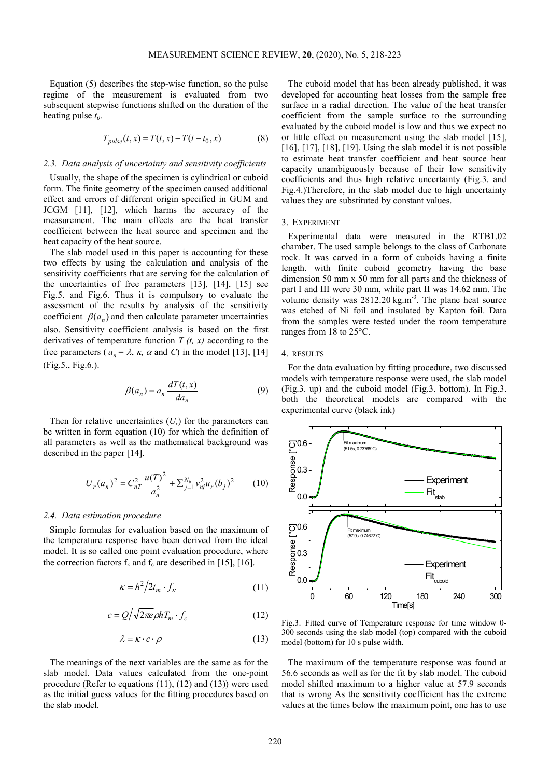Equation (5) describes the step-wise function, so the pulse regime of the measurement is evaluated from two subsequent stepwise functions shifted on the duration of the heating pulse  $t_0$ .

$$
T_{pulse}(t, x) = T(t, x) - T(t - t_0, x)
$$
\n(8)

## 2.3. Data analysis of uncertainty and sensitivity coefficients

Usually, the shape of the specimen is cylindrical or cuboid form. The finite geometry of the specimen caused additional effect and errors of different origin specified in GUM and JCGM [11], [12], which harms the accuracy of the measurement. The main effects are the heat transfer coefficient between the heat source and specimen and the heat capacity of the heat source.

The slab model used in this paper is accounting for these two effects by using the calculation and analysis of the sensitivity coefficients that are serving for the calculation of the uncertainties of free parameters [13], [14], [15] see Fig.5. and Fig.6. Thus it is compulsory to evaluate the assessment of the results by analysis of the sensitivity coefficient  $\beta( a_n )$  and then calculate parameter uncertainties also. Sensitivity coefficient analysis is based on the first derivatives of temperature function  $T(t, x)$  according to the free parameters ( $a_n = \lambda$ ,  $\kappa$ ,  $\alpha$  and C) in the model [13], [14] (Fig.5., Fig.6.).

$$
\beta(a_n) = a_n \frac{dT(t, x)}{da_n} \tag{9}
$$

Then for relative uncertainties  $(U_r)$  for the parameters can be written in form equation (10) for which the definition of all parameters as well as the mathematical background was described in the paper [14].

$$
U_r(a_n)^2 = C_{nT}^2 \frac{u(T)^2}{a_n^2} + \sum_{j=1}^{N_b} v_{nj}^2 u_r(b_j)^2
$$
 (10)

#### 2.4. Data estimation procedure

Simple formulas for evaluation based on the maximum of the temperature response have been derived from the ideal model. It is so called one point evaluation procedure, where the correction factors  $f_k$  and  $f_c$  are described in [15], [16].

$$
\kappa = h^2 / 2t_m \cdot f_\kappa \tag{11}
$$

$$
c = Q / \sqrt{2\pi e} \rho h T_m \cdot f_c \tag{12}
$$

$$
\lambda = \kappa \cdot c \cdot \rho \tag{13}
$$

The meanings of the next variables are the same as for the slab model. Data values calculated from the one-point procedure (Refer to equations (11), (12) and (13)) were used as the initial guess values for the fitting procedures based on the slab model.

The cuboid model that has been already published, it was developed for accounting heat losses from the sample free surface in a radial direction. The value of the heat transfer coefficient from the sample surface to the surrounding evaluated by the cuboid model is low and thus we expect no or little effect on measurement using the slab model [15], [16], [17], [18], [19]. Using the slab model it is not possible to estimate heat transfer coefficient and heat source heat capacity unambiguously because of their low sensitivity coefficients and thus high relative uncertainty (Fig.3. and Fig.4.)Therefore, in the slab model due to high uncertainty values they are substituted by constant values.

#### 3. EXPERIMENT

Experimental data were measured in the RTB1.02 chamber. The used sample belongs to the class of Carbonate rock. It was carved in a form of cuboids having a finite length. with finite cuboid geometry having the base dimension 50 mm x 50 mm for all parts and the thickness of part I and III were 30 mm, while part II was 14.62 mm. The volume density was  $2812.20 \text{ kg.m}^{-3}$ . The plane heat source was etched of Ni foil and insulated by Kapton foil. Data from the samples were tested under the room temperature ranges from 18 to 25°C.

## 4. RESULTS

For the data evaluation by fitting procedure, two discussed models with temperature response were used, the slab model (Fig.3. up) and the cuboid model (Fig.3. bottom). In Fig.3. both the theoretical models are compared with the experimental curve (black ink)



Fig.3. Fitted curve of Temperature response for time window 0- 300 seconds using the slab model (top) compared with the cuboid model (bottom) for 10 s pulse width.

The maximum of the temperature response was found at 56.6 seconds as well as for the fit by slab model. The cuboid model shifted maximum to a higher value at 57.9 seconds that is wrong As the sensitivity coefficient has the extreme values at the times below the maximum point, one has to use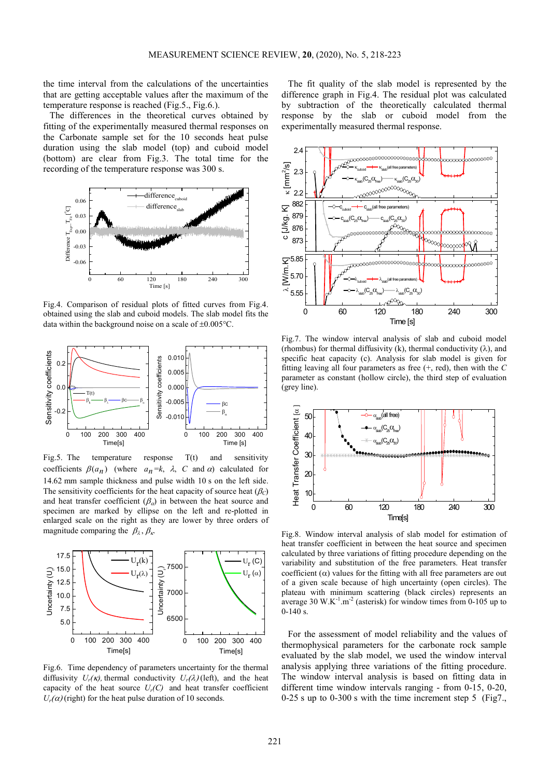the time interval from the calculations of the uncertainties that are getting acceptable values after the maximum of the temperature response is reached (Fig.5., Fig.6.).

The differences in the theoretical curves obtained by fitting of the experimentally measured thermal responses on the Carbonate sample set for the 10 seconds heat pulse duration using the slab model (top) and cuboid model (bottom) are clear from Fig.3. The total time for the



Fig.4. Comparison of residual plots of fitted curves from Fig.4. obtained using the slab and cuboid models. The slab model fits the data within the background noise on a scale of  $\pm 0.005^{\circ}$ C.



Fig.5. The temperature response T(t) and sensitivity coefficients  $\beta(a_n)$  (where  $a_n = k$ ,  $\lambda$ , C and  $\alpha$ ) calculated for 14.62 mm sample thickness and pulse width 10 s on the left side. The sensitivity coefficients for the heat capacity of source heat  $(\beta_C)$ and heat transfer coefficient  $(\beta_{\alpha})$  in between the heat source and specimen are marked by ellipse on the left and re-plotted in enlarged scale on the right as they are lower by three orders of



Fig.6. Time dependency of parameters uncertainty for the thermal diffusivity  $U_r(\kappa)$ , thermal conductivity  $U_r(\lambda)$  (left), and the heat capacity of the heat source  $U_r(C)$  and heat transfer coefficient  $U_r(\alpha)$  (right) for the heat pulse duration of 10 seconds.

The fit quality of the slab model is represented by the difference graph in Fig.4. The residual plot was calculated by subtraction of the theoretically calculated thermal response by the slab or cuboid model from the experimentally measured thermal response.



 $\begin{bmatrix} 0.005 \\ 0.005 \end{bmatrix}$ 0.010 $\parallel$  specific heat capacity (c). Analysis for slab model is given for Fig.7. The window interval analysis of slab and cuboid model (rhombus) for thermal diffusivity (k), thermal conductivity ( $\lambda$ ), and fitting leaving all four parameters as free  $(+, \text{ red})$ , then with the C



7000 plateau with minimum scattering (black circles) represents an  $U_r(C)$  variability and substitution of the free parameters. Heat transfer  $U_r(\alpha)$  coefficient ( $\alpha$ ) values for the fitting with all free parameters are out Fig.8. Window interval analysis of slab model for estimation of heat transfer coefficient in between the heat source and specimen calculated by three variations of fitting procedure depending on the of a given scale because of high uncertainty (open circles). The average 30 W.K<sup>-1</sup>.m<sup>-2</sup> (asterisk) for window times from 0-105 up to 0-140 s.

For the assessment of model reliability and the values of thermophysical parameters for the carbonate rock sample evaluated by the slab model, we used the window interval analysis applying three variations of the fitting procedure. The window interval analysis is based on fitting data in different time window intervals ranging - from 0-15, 0-20, 0-25 s up to 0-300 s with the time increment step 5 (Fig7.,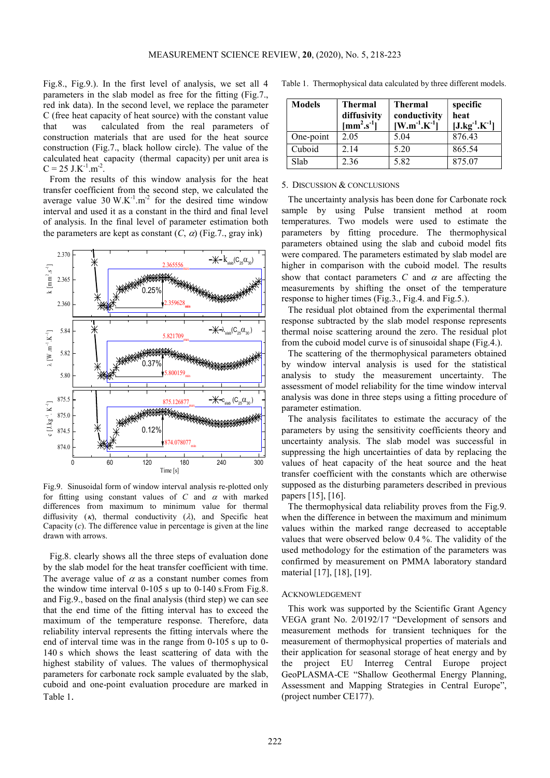Fig.8., Fig.9.). In the first level of analysis, we set all 4 parameters in the slab model as free for the fitting (Fig.7., red ink data). In the second level, we replace the parameter C (free heat capacity of heat source) with the constant value that was calculated from the real parameters of construction materials that are used for the heat source construction (Fig.7., black hollow circle). The value of the calculated heat capacity (thermal capacity) per unit area is  $C = 25$  J.K<sup>-1</sup>.m<sup>-2</sup>.

From the results of this window analysis for the heat transfer coefficient from the second step, we calculated the average value  $30 \text{ W.K}^{-1} \text{.m}^{-2}$  for the desired time window interval and used it as a constant in the third and final level of analysis. In the final level of parameter estimation both the parameters are kept as constant  $(C, \alpha)$  (Fig.7., gray ink)



Fig.9. Sinusoidal form of window interval analysis re-plotted only for fitting using constant values of  $C$  and  $\alpha$  with marked differences from maximum to minimum value for thermal diffusivity  $(\kappa)$ , thermal conductivity  $(\lambda)$ , and Specific heat Capacity  $(c)$ . The difference value in percentage is given at the line drawn with arrows.

Fig.8. clearly shows all the three steps of evaluation done by the slab model for the heat transfer coefficient with time. The average value of  $\alpha$  as a constant number comes from the window time interval 0-105 s up to 0-140 s.From Fig.8. and Fig.9., based on the final analysis (third step) we can see that the end time of the fitting interval has to exceed the maximum of the temperature response. Therefore, data reliability interval represents the fitting intervals where the end of interval time was in the range from 0-105 s up to 0- 140 s which shows the least scattering of data with the highest stability of values. The values of thermophysical parameters for carbonate rock sample evaluated by the slab, cuboid and one-point evaluation procedure are marked in Table 1.

Table 1. Thermophysical data calculated by three different models.

| <b>Models</b> | <b>Thermal</b><br>diffusivity<br>$\left[\text{mm}^2\text{.s}^{\text{-}1}\right]$ | <b>Thermal</b><br>conductivity<br>$[W.m^{-1}.K^{-1}]$ | specific<br>heat<br>$[J.kg^{-1}.K^{-1}]$ |
|---------------|----------------------------------------------------------------------------------|-------------------------------------------------------|------------------------------------------|
| One-point     | 2.05                                                                             | 5.04                                                  | 876.43                                   |
| Cuboid        | 2.14                                                                             | 5.20                                                  | 865.54                                   |
| Slab          | 2.36                                                                             | 5.82                                                  | 875.07                                   |

#### 5. DISCUSSION & CONCLUSIONS

 $\left(-\frac{1}{2.365556_{\text{max}}}\right)$   $\left(-\frac{1}{2.365556_{\text{max}}}\right)$  higher in comparison with the cuboid model. The results  $\left(0.25\% \left|\frac{1}{1000}\right|\right)$  measurements by shifting the onset of the temperature The uncertainty analysis has been done for Carbonate rock sample by using Pulse transient method at room temperatures. Two models were used to estimate the parameters by fitting procedure. The thermophysical parameters obtained using the slab and cuboid model fits were compared. The parameters estimated by slab model are show that contact parameters C and  $\alpha$  are affecting the response to higher times (Fig.3., Fig.4. and Fig.5.).

 $2.359628<sub>min</sub>$  The residual plot obtained from the experimental thermal  $\lambda_{\text{\tiny\text{slab}}}(C_{25}\alpha_{30})$  + thermal noise scattering around the zero. The residual plot  $\frac{5.821709}{2}$  from the cuboid model curve is of sinusoidal shape (Fig.4.). response subtracted by the slab model response represents

 $\begin{bmatrix} 0.37\% \\ 0.37\% \end{bmatrix}$  by window interval analysis is used for the statistical analysis to study the measurement uncertainty. The  $c_{\text{slab}}(C_{25}\alpha_{30})$  analysis was done in three steps using a fitting procedure of The scattering of the thermophysical parameters obtained analysis to study the measurement uncertainty. The assessment of model reliability for the time window interval

 $\begin{bmatrix} 0.12\% \\ 0.12\% \end{bmatrix}$  parameters by using the sensitivity coefficients theory and uncertainty analysis. The slab model was successful in The analysis facilitates to estimate the accuracy of the parameters by using the sensitivity coefficients theory and suppressing the high uncertainties of data by replacing the values of heat capacity of the heat source and the heat transfer coefficient with the constants which are otherwise supposed as the disturbing parameters described in previous papers [15], [16].

> The thermophysical data reliability proves from the Fig.9. when the difference in between the maximum and minimum values within the marked range decreased to acceptable values that were observed below 0.4 %. The validity of the used methodology for the estimation of the parameters was confirmed by measurement on PMMA laboratory standard material [17], [18], [19].

#### ACKNOWLEDGEMENT

This work was supported by the Scientific Grant Agency VEGA grant No. 2/0192/17 "Development of sensors and measurement methods for transient techniques for the measurement of thermophysical properties of materials and their application for seasonal storage of heat energy and by the project EU Interreg Central Europe project GeoPLASMA-CE "Shallow Geothermal Energy Planning, Assessment and Mapping Strategies in Central Europe", (project number CE177).